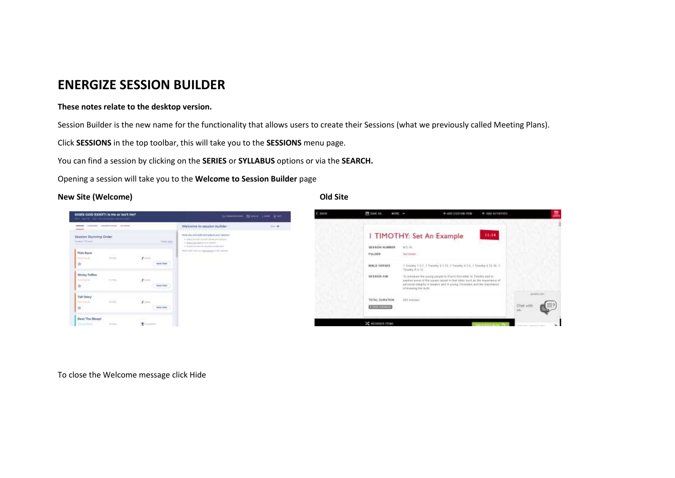# **ENERGIZE SESSION BUILDER**

### **These notes relate to the desktop version.**

Session Builder is the new name for the functionality that allows users to create their Sessions (what we previously called Meeting Plans).

Click **SESSIONS** in the top toolbar, this will take you to the **SESSIONS** menu page.

You can find a session by clicking on the **SERIES** or **SYLLABUS** options or via the **SEARCH.**

Opening a session will take you to the **Welcome to Session Builder** page

#### **New Site (Welcome) Old Site**



To close the Welcome message click Hide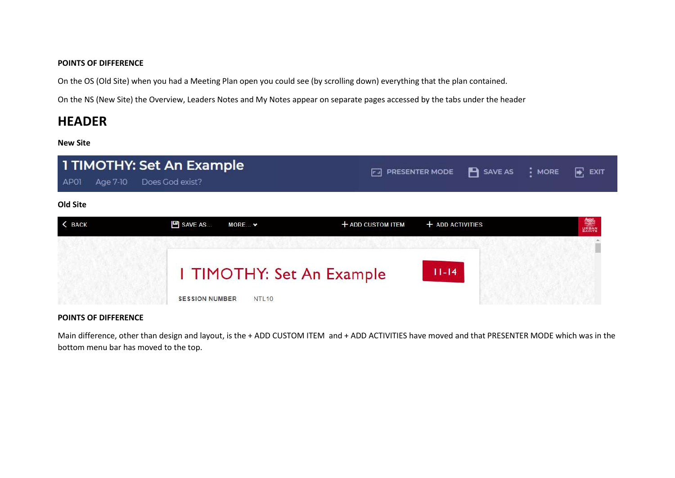#### **POINTS OF DIFFERENCE**

On the OS (Old Site) when you had a Meeting Plan open you could see (by scrolling down) everything that the plan contained.

On the NS (New Site) the Overview, Leaders Notes and My Notes appear on separate pages accessed by the tabs under the header

# **HEADER**

**New Site**



### **POINTS OF DIFFERENCE**

Main difference, other than design and layout, is the + ADD CUSTOM ITEM and + ADD ACTIVITIES have moved and that PRESENTER MODE which was in the bottom menu bar has moved to the top.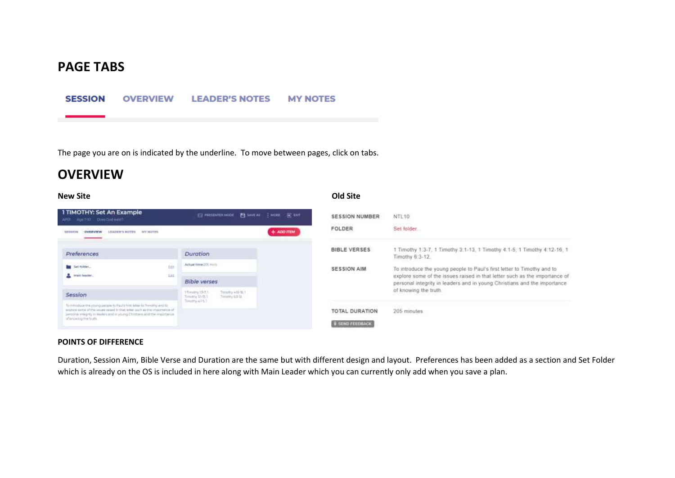# **PAGE TABS**

#### **SESSION OVERVIEW LEADER'S NOTES MY NOTES**

The page you are on is indicated by the underline. To move between pages, click on tabs.

# **OVERVIEW**

#### **New Site Old Site**

| 1 TIMOTHY: Set An Example<br>Age 7-10 Does God extern<br>APON                                                                                                                                                                                                | E PHISONTELHODE: EL SAVEAU - E HORE - EC CAT |              | <b>SESSION NUMBER</b>                           | NTL10                                                                                                                                                                                                                                                     |
|--------------------------------------------------------------------------------------------------------------------------------------------------------------------------------------------------------------------------------------------------------------|----------------------------------------------|--------------|-------------------------------------------------|-----------------------------------------------------------------------------------------------------------------------------------------------------------------------------------------------------------------------------------------------------------|
| CARD CONSTRUCTION OF THE RESIDENCE.<br><b>LIV MOTTER</b><br><b>LEADER'S NOTES</b><br><b>CVERVIEW</b><br><b>SERIEDH</b>                                                                                                                                       |                                              | $+$ ADD ITEM | FOLDER                                          | Set folder                                                                                                                                                                                                                                                |
| Preferences                                                                                                                                                                                                                                                  | <b>Duration</b>                              |              | <b>BIBLE VERSES</b>                             | 1 Timothy 1:3-7, 1 Timothy 3:1-13, 1 Timothy 4:1-5, 1 Timothy 4:12-16, 1<br>Timothy 6:3-12.                                                                                                                                                               |
| Set folder<br>tuis<br><b>A</b> blain leader.<br><b>DH</b>                                                                                                                                                                                                    | Actual Inner 201 mins<br><b>Bible verses</b> |              | SESSION AIM                                     | To introduce the young people to Paul's first letter to Timothy and to<br>explore some of the issues raised in that letter such as the importance of<br>personal integrity in leaders and in young Christians and the importance<br>of knowing the truth. |
|                                                                                                                                                                                                                                                              |                                              |              |                                                 |                                                                                                                                                                                                                                                           |
| formtrockcerthe young people to Reuts first letter to Throchy and to<br>would by worted of the cesared select by that better such as the importance of<br>personal integrity in meders and in young Christophs and the importance<br>of inhimitig the truth. | Timothy ach 6.3<br>Martin Barbara            |              | <b>TOTAL DURATION</b><br><b>B SEND FEEDBACK</b> |                                                                                                                                                                                                                                                           |

### **POINTS OF DIFFERENCE**

Duration, Session Aim, Bible Verse and Duration are the same but with different design and layout. Preferences has been added as a section and Set Folder which is already on the OS is included in here along with Main Leader which you can currently only add when you save a plan.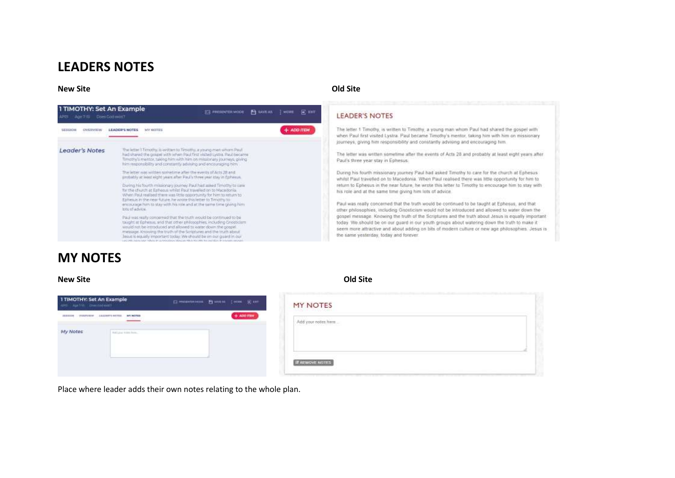# **LEADERS NOTES**

### **New Site Old Site**



#### **LEADER'S NOTES**

The letter 1 Timothy, is written to Timothy, a young man whom Paul had shared the gospel with when Paul first visited Lystra. Paul became Timothy's mentor, taking him with him on missionary journeys, giving him responsibility and constantly advising and encouraging him.

The letter was written sometime after the events of Acts 28 and probably at least eight years after Paul's three year stay in Ephesus.

During his fourth missionary journey Paul had asked Timothy to care for the church at Ephesus whilst Paul travelled on to Macedonia. When Paul realised there was little opportunity for him to return to Ephesus in the near future, he wrote this letter to Timothy to encourage him to stay with his role and at the same time giving him lots of advice.

Paul was really concerned that the truth would be continued to be taught at Ephesus, and that other philosophies, including Gnosticism would not be introduced and allowed to water down the gospel message. Knowing the truth of the Scriptures and the truth about Jesus is equally important today. We should be on our guard in our youth groups about watering down the truth to make it seem more attractive and about adding on bits of modern culture or new age philosophies. Jesus is the same yesterday, today and forever.

# **MY NOTES**

#### **New Site Old Site**

| 1 TIMOTHY: Set An Example<br>ED HYDROGENE ENGINE ENGINE ER MET<br>APD Apr Vis Checkerwork                                                                                                                  | <b>MY NOTES</b>                                                           |
|------------------------------------------------------------------------------------------------------------------------------------------------------------------------------------------------------------|---------------------------------------------------------------------------|
| $+$ 400 may<br>LEASERT SCTEE MY NOTES<br>おおはお<br><b>FVR/FV/R/W</b><br>and the state of the state of the state of the state of the state of the state of the state of the state of the<br><b>STATISTICS</b> | [아직] 알아보니 그 아이들은 뭐 봐?<br>Add your notes from<br>AMA 500 AMA 2010 AMA 2010 |
| My Notes<br>tating tim his.                                                                                                                                                                                |                                                                           |
|                                                                                                                                                                                                            |                                                                           |
|                                                                                                                                                                                                            | <b>B SEMOVE NOTES</b>                                                     |

Place where leader adds their own notes relating to the whole plan.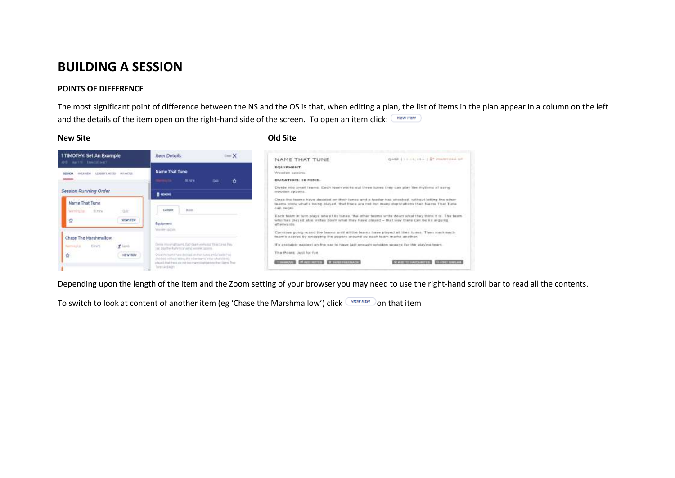# **BUILDING A SESSION**

#### **POINTS OF DIFFERENCE**

The most significant point of difference between the NS and the OS is that, when editing a plan, the list of items in the plan appear in a column on the left and the details of the item open on the right-hand side of the screen. To open an item click: VIEW ITEM

### **New Site Old Site**



Depending upon the length of the item and the Zoom setting of your browser you may need to use the right-hand scroll bar to read all the contents.

To switch to look at content of another item (eg 'Chase the Marshmallow') click  $\Box$  on that item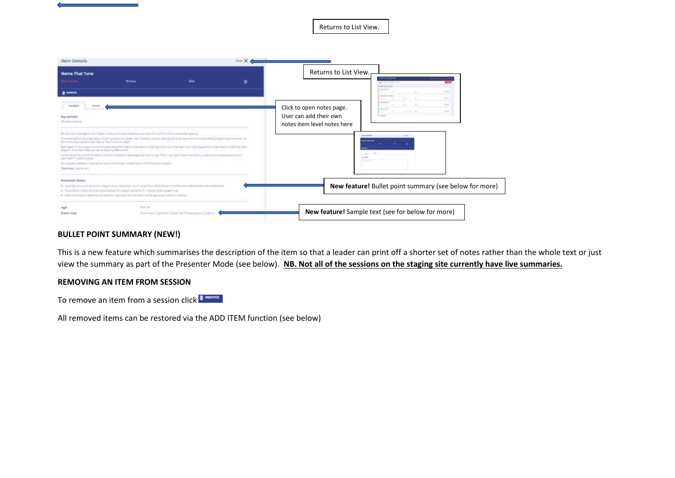Returns to List View.



#### **BULLET POINT SUMMARY (NEW!)**

This is a new feature which summarises the description of the item so that a leader can print off a shorter set of notes rather than the whole text or just view the summary as part of the Presenter Mode (see below). **NB. Not all of the sessions on the staging site currently have live summaries.**

#### **REMOVING AN ITEM FROM SESSION**

To remove an item from a session click I FONDUE

All removed items can be restored via the ADD ITEM function (see below)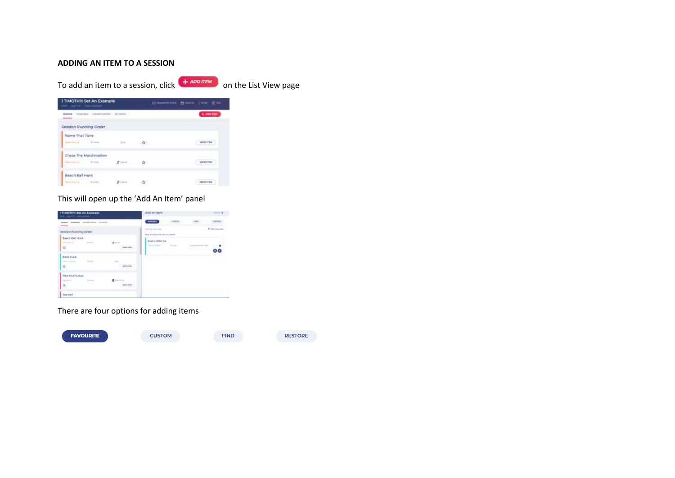### **ADDING AN ITEM TO A SESSION**

To add an item to a session, click  $\left(1 + \frac{1}{2}\right)$  on the List View page

| I TIMOTHY: Set An Example.<br>and April 2 Americans .                                                                                                                                                                                                                                                                                                                                                                                                                                  |          |           | Gimmest Amic ive Eur. |                                 |
|----------------------------------------------------------------------------------------------------------------------------------------------------------------------------------------------------------------------------------------------------------------------------------------------------------------------------------------------------------------------------------------------------------------------------------------------------------------------------------------|----------|-----------|-----------------------|---------------------------------|
| $\begin{minipage}{.4\linewidth} \begin{tabular}{l} \hline \multicolumn{3}{l}{} & \multicolumn{3}{l}{} & \multicolumn{3}{l}{} & \multicolumn{3}{l}{} & \multicolumn{3}{l}{} & \multicolumn{3}{l}{} & \multicolumn{3}{l}{} & \multicolumn{3}{l}{} & \multicolumn{3}{l}{} & \multicolumn{3}{l}{} & \multicolumn{3}{l}{} & \multicolumn{3}{l}{} & \multicolumn{3}{l}{} & \multicolumn{3}{l}{} & \multicolumn{3}{l}{} & \multicolumn{3}{l}{} & \multicolumn{3}{l}{} & \multicolumn{3}{l}{}$ |          |           |                       | $+ 100$ (TBH                    |
| Session Running Order<br><b>CALLA LATING AND AT A PIAN</b>                                                                                                                                                                                                                                                                                                                                                                                                                             |          |           |                       |                                 |
| Name That Tune<br><b>Harmsburg</b> 1                                                                                                                                                                                                                                                                                                                                                                                                                                                   | The page | $-32 - 1$ |                       | <b><i>VETIM ITEMS</i></b>       |
| Chase The Marshmallow<br>The State State<br>. <del>.</del>                                                                                                                                                                                                                                                                                                                                                                                                                             | ghtere." | <b>R</b>  |                       | VARIE ITEM<br>American Property |
| Heach Sat Hunt<br>deeduin breed                                                                                                                                                                                                                                                                                                                                                                                                                                                        |          | - 12      |                       |                                 |

# This will open up the 'Add An Item' panel

| 11 TRADITION SAT AN ELECTRIC                          |                                                   | Add on item.                                                              |        |
|-------------------------------------------------------|---------------------------------------------------|---------------------------------------------------------------------------|--------|
| <b>WWW. TOYOTA CONSTITUTE: BIRDER</b>                 |                                                   |                                                                           |        |
| <b>Benslee: Nurshing Order</b>                        |                                                   | Total Grant<br>control of the control of<br>sing as homely injure learns. | Vision |
| South Ball Hord<br>dental in<br>世<br>- -              | $\pm 1$<br>$-0.01440$<br><b><i>CONTRACTOR</i></b> | Deal by Wildli Uk.<br><b>Contractor</b><br><b>The Control</b><br>n.       |        |
| <b>Bas Turk</b><br>hora."<br>古                        |                                                   |                                                                           |        |
| Fixe And Philbid<br>College Car<br><b>Provi</b><br>合: | ш<br>w<br>mente.                                  |                                                                           |        |
| Weltad                                                |                                                   |                                                                           |        |

# There are four options for adding items

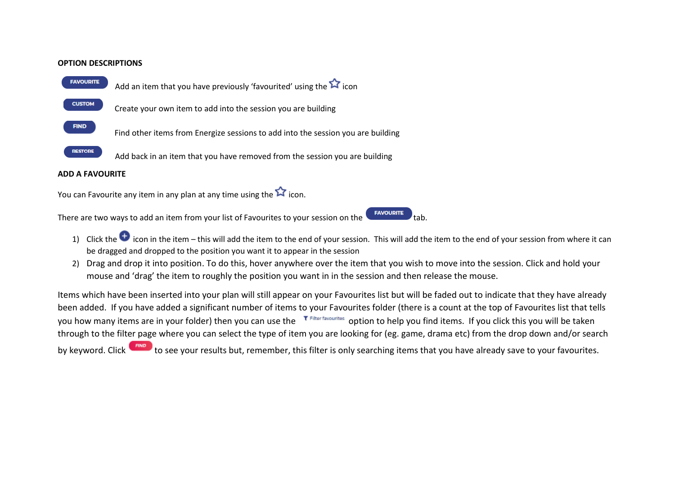#### **OPTION DESCRIPTIONS**



Add an item that you have previously 'favourited' using the **ight** icon

Create your own item to add into the session you are building

Find other items from Energize sessions to add into the session you are building

RESTORE Add back in an item that you have removed from the session you are building

### **ADD A FAVOURITE**

You can Favourite any item in any plan at any time using the  $\hat{Y}$  icon.

There are two ways to add an item from your list of Favourites to your session on the  $\overline{\phantom{a}}$   $\overline{\phantom{a}}$  tab.

- 1) Click the  $\bullet$  icon in the item this will add the item to the end of your session. This will add the item to the end of your session from where it can be dragged and dropped to the position you want it to appear in the session
- 2) Drag and drop it into position. To do this, hover anywhere over the item that you wish to move into the session. Click and hold your mouse and 'drag' the item to roughly the position you want in in the session and then release the mouse.

Items which have been inserted into your plan will still appear on your Favourites list but will be faded out to indicate that they have already been added. If you have added a significant number of items to your Favourites folder (there is a count at the top of Favourites list that tells you how many items are in your folder) then you can use the  $\overline{P}$  Filter favourites option to help you find items. If you click this you will be taken through to the filter page where you can select the type of item you are looking for (eg. game, drama etc) from the drop down and/or search

by keyword. Click **the studies to see your results but, remember, this filter is only searching items that you have already save to your favourites.**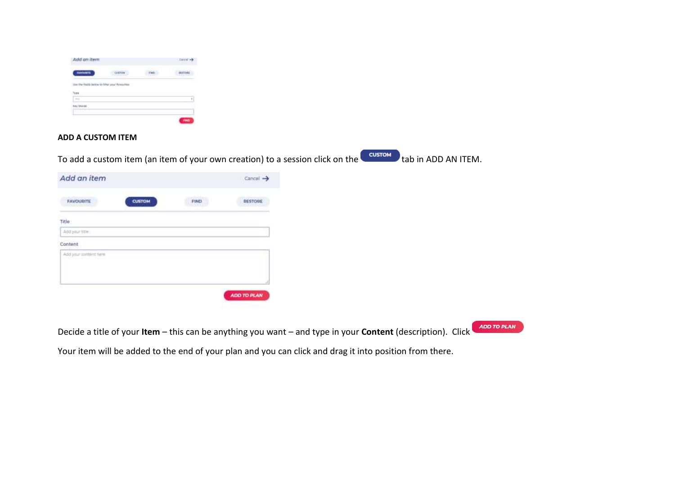| ta an usu                                     |   | -- |
|-----------------------------------------------|---|----|
|                                               |   |    |
| Use the fields below to fitter your freesemer | ٠ |    |
|                                               |   |    |
|                                               |   | ٠  |
|                                               |   |    |
|                                               |   |    |
|                                               |   |    |

## **ADD A CUSTOM ITEM**

To add a custom item (an item of your own creation) to a session click on the **CULTION** tab in ADD AN ITEM.

| $Cancel \rightarrow$ |
|----------------------|
| RESTORE              |
|                      |
|                      |
|                      |
|                      |
|                      |
|                      |
| ADD TO PLAN          |
|                      |

Decide a title of your **Item** – this can be anything you want – and type in your **Content** (description). Click

ADD TO PLAN

Your item will be added to the end of your plan and you can click and drag it into position from there.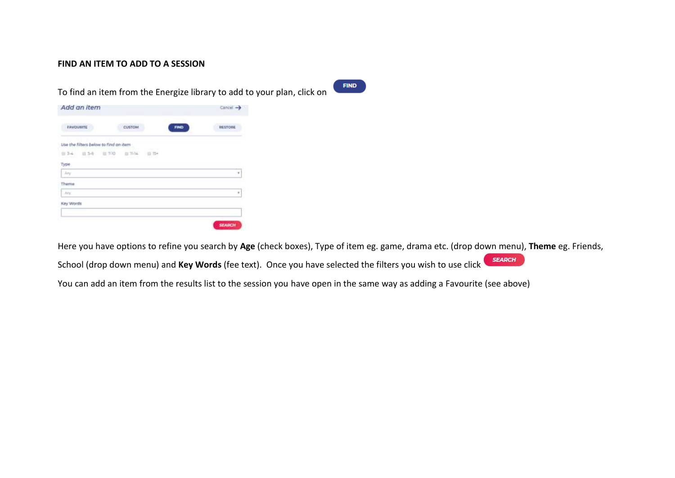## **FIND AN ITEM TO ADD TO A SESSION**

To find an item from the Energize library to add to your plan, click on

**FIND** 

| <b>FAVOURITE</b>                       | CUSTOM | FIND | <b>RESTORE</b> |
|----------------------------------------|--------|------|----------------|
| Lise the filters below to find an item |        |      |                |
| $0.34 - 0.56$<br>一 7-10                | 自 耳体   | 前掛   |                |
| Type                                   |        |      |                |
| Any                                    |        |      | ٠              |
| Theme                                  |        |      |                |
| Arts:                                  |        |      | ۰              |
| Key Words                              |        |      |                |

Here you have options to refine you search by **Age** (check boxes), Type of item eg. game, drama etc. (drop down menu), **Theme** eg. Friends,

**SEARCH** School (drop down menu) and **Key Words** (fee text). Once you have selected the filters you wish to use click

You can add an item from the results list to the session you have open in the same way as adding a Favourite (see above)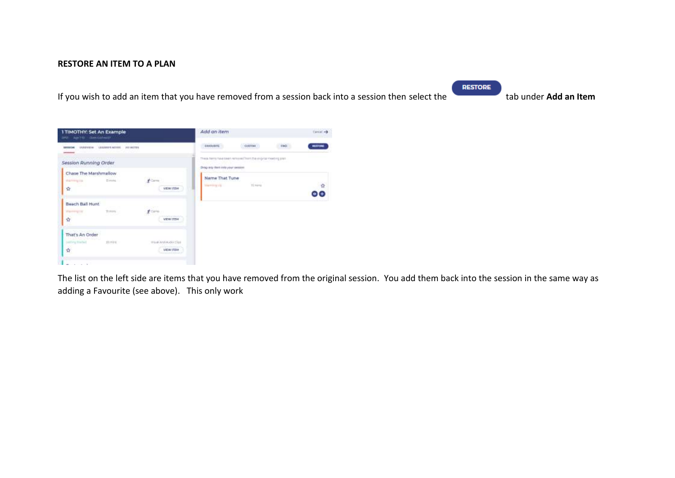## **RESTORE AN ITEM TO A PLAN**

If you wish to add an item that you have removed from a session back into a session then select the tab under **Add an Item**

**RESTORE** 



The list on the left side are items that you have removed from the original session. You add them back into the session in the same way as adding a Favourite (see above). This only work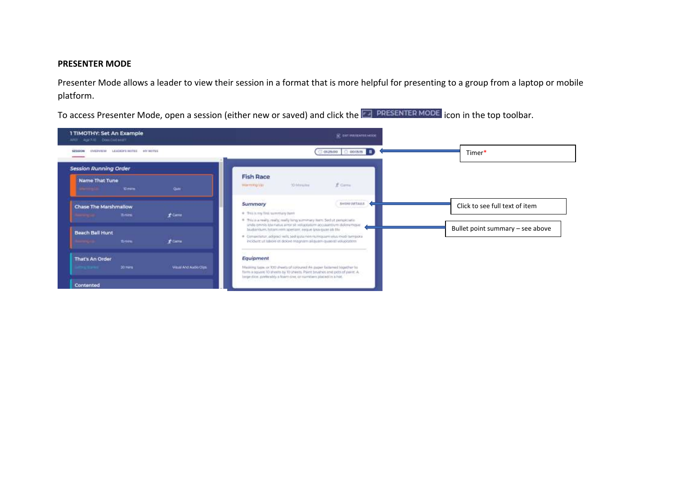## **PRESENTER MODE**

Presenter Mode allows a leader to view their session in a format that is more helpful for presenting to a group from a laptop or mobile platform.

To access Presenter Mode, open a session (either new or saved) and click the **Follome SER TER MODE** icon in the top toolbar.

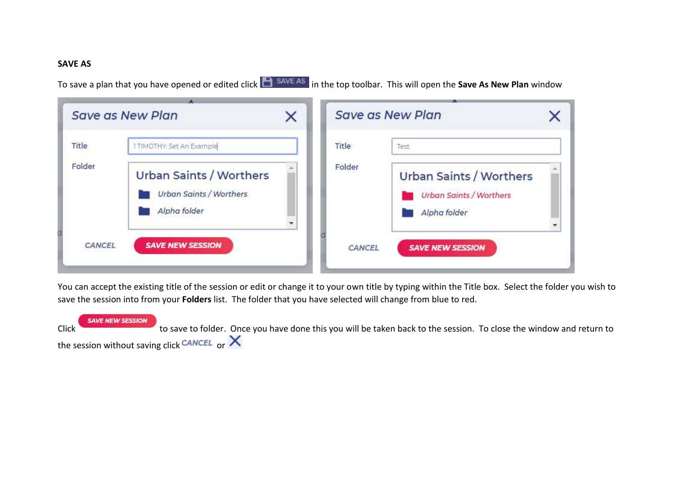## **SAVE AS**

To save a plan that you have opened or edited click **in SAVE AS** in the top toolbar. This will open the **Save As New Plan** window

|        | <b>Save as New Plan</b>                                                          | × |        | <b>Save as New Plan</b>                                                          |  |
|--------|----------------------------------------------------------------------------------|---|--------|----------------------------------------------------------------------------------|--|
| Title  | 1 TIMOTHY: Set An Example                                                        |   | Title  | Test                                                                             |  |
| Folder | <b>Urban Saints / Worthers</b><br><b>Urban Saints / Worthers</b><br>Alpha folder |   | Folder | <b>Urban Saints / Worthers</b><br><b>Urban Saints / Worthers</b><br>Alpha folder |  |
| CANCEL | <b>SAVE NEW SESSION</b>                                                          |   | CANCEL | <b>SAVE NEW SESSION</b>                                                          |  |

You can accept the existing title of the session or edit or change it to your own title by typing within the Title box. Select the folder you wish to save the session into from your **Folders** list. The folder that you have selected will change from blue to red.

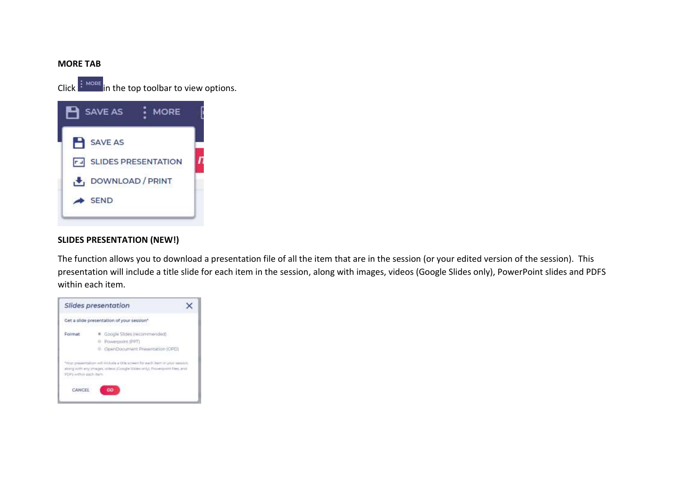## **MORE TAB**

 $Click$  in the top toolbar to view options.



## **SLIDES PRESENTATION (NEW!)**

The function allows you to download a presentation file of all the item that are in the session (or your edited version of the session). This presentation will include a title slide for each item in the session, along with images, videos (Google Slides only), PowerPoint slides and PDFS within each item.